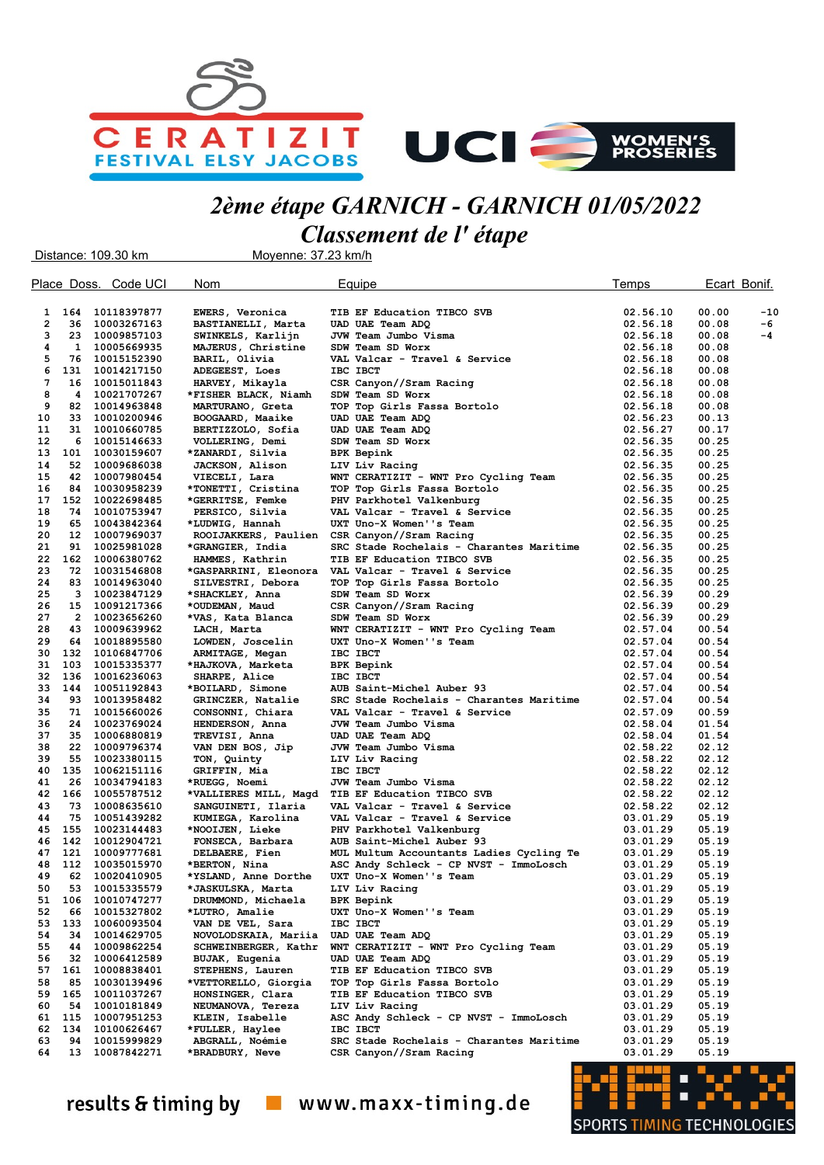



## 2ème étape GARNICH - GARNICH 01/05/2022 Classement de l' étape

Distance: 109.30 km Moyenne: 37.23 km/h Place Doss. Code UCI Nom **Equipe Temps** Ecart Bonif. 1 164 10118397877 EWERS, Veronica TIB EF Education TIBCO SVB 02.56.10 00.00 -10<br>2 36 10003267163 BASTIANELLI Marta UAD UAE Team ADO 2 36 10003267163 BASTIANELLI, Marta UAD UAE Team ADQ 02.56.18 00.08 -6 3 23 10009857103 SWINKELS, Karlijn JVW Team Jumbo Visma 02.56.18 00.08 -4 4 1 10005669935 MAJERUS, Christine SDW Team SD Worx 02.56.18 00.08 5 76 10015152390 BARIL, Olivia VAL Valcar - Travel & Service 02.56.18 00.08 6 131 10014217150 ADEGEEST, Loes IBC IBCT 02.56.18 00.08 CSR Canyon//Sram Racing 8 4 10021707267 \*FISHER BLACK, Niamh SDW Team SD Worx 02.56.18 00.08 9 82 10014963848 MARTURANO, Greta TOP Top Girls Fassa Bortolo 02.56.18 00.08 10 33 10010200946 BOOGAARD, Maaike UAD UAE Team ADQ 02.56.23 00.13 11 31 10010660785 BERTIZZOLO, Sofia UAD UAE Team ADQ 02.56.27 00.17 12 6 10015146633 VOLLERING, Demi SDW Team SD Worx 02.56.35 00.25  $*$  ZANARDI, Silvia 14 52 10009686038 JACKSON, Alison LIV Liv Racing 02.56.35 00.25 15 42 10007980454 VIECELI, Lara WNT CERATIZIT - WNT Pro Cycling Team 02.56.35 00.25 16 84 10030958239 \*TONETTI, Cristina TOP Top Girls Fassa Bortolo 02.56.35 00.25 17 152 10022698485 \*GERRITSE, Femke PHV Parkhotel Valkenburg 02.56.35 00.25 18 74 10010753947 PERSICO, Silvia VAL Valcar - Travel & Service 02.56.35 00.25 19 65 10043842364 \*LUDWIG, Hannah UXT Uno-X Women''s Team 02.56.35 00.25 20 12 10007969037 ROOIJAKKERS, Paulien CSR Canyon//Sram Racing 02.56.35 00.25 21 91 10025981028 \*GRANGIER, India SRC Stade Rochelais - Charantes Maritime 02.56.35 00.25 22 162 10006380762 HAMMES, Kathrin TIB EF Education TIBCO SVB 02.56.35 00.25 23 72 10031546808 \*GASPARRINI, Eleonora VAL Valcar - Travel & Service 02.56.35 00.25 24 83 10014963040 SILVESTRI, Debora TOP Top Girls Fassa Bortolo 02.56.35 00.25 25 3 10023847129 \*SHACKLEY, Anna SDW Team SD Worx 02.56.39 00.29 26 15 10091217366 \*OUDEMAN, Maud CSR Canyon//Sram Racing 02.56.39 00.29 27 2 10023656260 \*VAS, Kata Blanca SDW Team SD Worx 02.56.39 00.29 28 10009639962 LACH, Marta WNT CERATIZIT - WNT Pro Cycling Team 02.57.04<br>20018895580 LOWDEN, Joscelin UXT Uno-X Women''s Team 02.57.04 29 64 10018895580 LOWDEN, Joscelin UXT Uno-X Women''s Team 02.57.04 00.54 30 132 10106847706 ARMITAGE, Megan IBC IBCT 02.57.04 00.54 31 103 10015335377 \*HAJKOVA, Marketa BPK Bepink 02.57.04 00.54 32 136 10016236063 SHARPE, Alice IBC IBCT 02.57.04 00.54 33 144 10051192843 \*BOILARD, Simone AUB Saint-Michel Auber 93 02.57.04 00.54 SRC Stade Rochelais - Charantes Maritime 35 71 10015660026 CONSONNI, Chiara VAL Valcar - Travel & Service 02.57.09 00.59<br>36 24 10023769024 HENDERSON Anna JUW Team Jumbo Visma 36 24 10023769024 HENDERSON, Anna JVW Team Jumbo Visma 02.58.04 01.54 37 35 10006880819 TREVISI, Anna UAD UAE Team ADQ 02.58.04 01.54 van DEN BOS, Jip 39 55 10023380115 TON, Quinty LIV Liv Racing 02.58.22 02.12 40 135 10062151116 GRIFFIN, Mia IBC IBCT 02.58.22 02.12 41 26 10034794183 \*RUEGG, Noemi JVW Team Jumbo Visma 02.58.22 02.12 42 166 10055787512 \*VALLIERES MILL, Magd TIB EF Education TIBCO SVB 02.58.22 02.12 VAL Valcar - Travel & Service 44 75 10051439282 KUMIEGA, Karolina VAL Valcar - Travel & Service 03.01.29 05.19 45 155 10023144483 \*NOOIJEN, Lieke PHV Parkhotel Valkenburg 03.01.29 05.19 46 142 10012904721 FONSECA, Barbara AUB Saint-Michel Auber 93 03.01.29 05.19 47 121 10009777681 DELBAERE, Fien MUL Multum Accountants Ladies Cycling Te 03.01.29 05.19 48 112 10035015970 \*BERTON, Nina ASC Andy Schleck - CP NVST - ImmoLosch 03.01.29 05.19 UXT Uno-X Women''s Team 50 53 10015335579 \*JASKULSKA, Marta LIV Liv Racing 03.01.29 05.19 10010747277 DRUMMOND, Michaela<br>10015327802 \*LUTRO, Amalie 52 66 10015327802 \*LUTRO, Amalie UXT Uno-X Women''s Team 03.01.29 05.19 53 133 10060093504 VAN DE VEL, Sara IBC IBCT 03.01.29 05.19 54 34 10014629705 NOVOLODSKAIA, Mariia UAD UAE Team ADQ 03.01.29 03.01.29 05.19<br>55 44 10009862254 SCHWEINBERGER, Kathr WNT CERATIZIT - WNT Pro Cycling Team 03.01.29 05.19 55 44 10009862254 SCHWEINBERGER, Kathr WNT CERATIZIT - WNT Pro Cycling Team 03.01.29 05.19 56 32 10006412589 BUJAK, Eugenia UAD UAE Team ADQ 68.19 03.01.29 05.19 05.19<br>57 161 10008838401 STEPHENS, Lauren TIBEF Education TIBCO SVB 03.01.29 05.19 57 161 10008838401 STEPHENS, Lauren TIB EF Education TIBCO SVB 03.01.29 05.19 58 85 10030139496 \*VETTORELLO, Giorgia TOP Top Girls Fassa Bortolo 03.01.29 05.19 59 165 10011037267 HONSINGER, Clara TIB EF Education TIBCO SVB 03.01.29 05.19 05.19<br>60 54 10010181849 NEUMANOVA, Tereza LIV Liv Racing 03.01.29 03.01.29 05.19 60 54 10010181849 NEUMANOVA, Tereza LIV Liv Racing 03.01.29 05.19 ASC Andy Schleck - CP NVST - ImmoLosch 62 134 10100626467 \*FULLER, Haylee IBC IBCT 03.01.29 05.19 63 94 10015999829 ABGRALL, Noémie SRC Stade Rochelais - Charantes Maritime 03.01.29 05.19 CSR Canyon//Sram Racing

results & timing by  $\Box$  www.maxx-timing.de